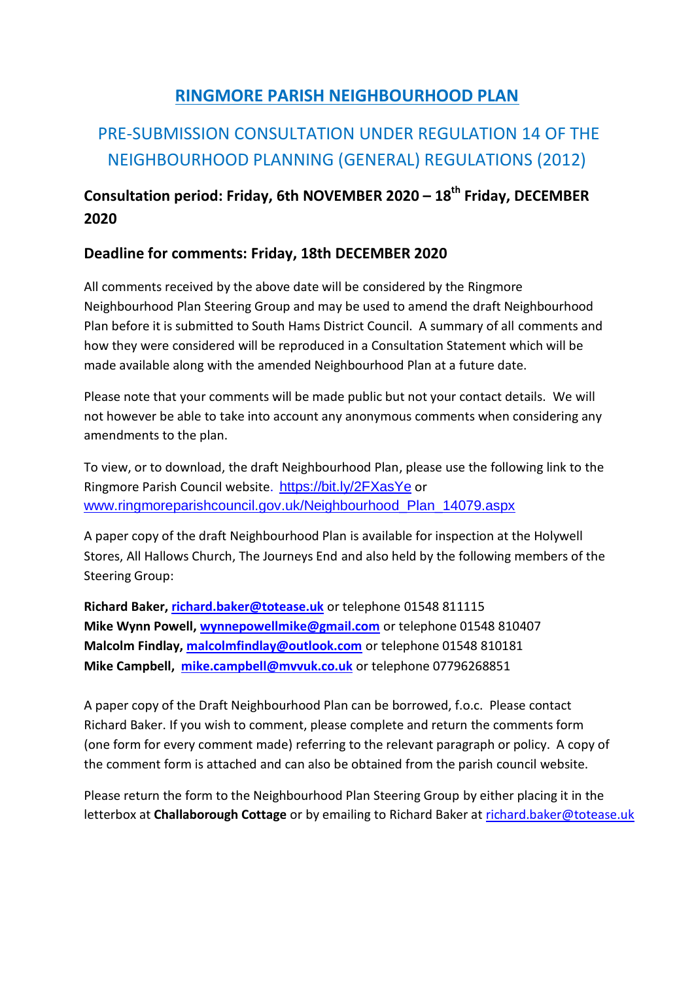### **RINGMORE PARISH NEIGHBOURHOOD PLAN**

## PRE-SUBMISSION CONSULTATION UNDER REGULATION 14 OF THE NEIGHBOURHOOD PLANNING (GENERAL) REGULATIONS (2012)

### **Consultation period: Friday, 6th NOVEMBER 2020 – 18th Friday, DECEMBER 2020**

#### **Deadline for comments: Friday, 18th DECEMBER 2020**

All comments received by the above date will be considered by the Ringmore Neighbourhood Plan Steering Group and may be used to amend the draft Neighbourhood Plan before it is submitted to South Hams District Council. A summary of all comments and how they were considered will be reproduced in a Consultation Statement which will be made available along with the amended Neighbourhood Plan at a future date.

Please note that your comments will be made public but not your contact details. We will not however be able to take into account any anonymous comments when considering any amendments to the plan.

To view, or to download, the draft Neighbourhood Plan, please use the following link to the Ringmore Parish Council website. https://bit.ly/2FXasYe or [www.ringmoreparishcouncil.gov.uk/Neighbourhood\\_Plan\\_14079.aspx](http://www.ringmoreparishcouncil.gov.uk/Neighbourhood_Plan_14079.aspx) 

A paper copy of the draft Neighbourhood Plan is available for inspection at the Holywell Stores, All Hallows Church, The Journeys End and also held by the following members of the Steering Group:

**Richard Baker, [richard.baker@totease.uk](mailto:richard.baker@totease.uk)** or telephone 01548 811115 **Mike Wynn Powell, [wynnepowellmike@gmail.com](mailto:wynnepowellmike@gmail.com)** or telephone 01548 810407 **Malcolm Findlay, [malcolmfindlay@outlook.com](mailto:malcolmfindlay@outlook.com)** or telephone 01548 810181 **Mike Campbell, [mike.campbell@mvvuk.co.uk](mailto:mike.campbell@mvvuk.co.uk)** or telephone 07796268851

A paper copy of the Draft Neighbourhood Plan can be borrowed, f.o.c. Please contact Richard Baker. If you wish to comment, please complete and return the comments form (one form for every comment made) referring to the relevant paragraph or policy. A copy of the comment form is attached and can also be obtained from the parish council website.

Please return the form to the Neighbourhood Plan Steering Group by either placing it in the letterbox at **Challaborough Cottage** or by emailing to Richard Baker a[t richard.baker@totease.uk](mailto:richard.baker@totease.uk)